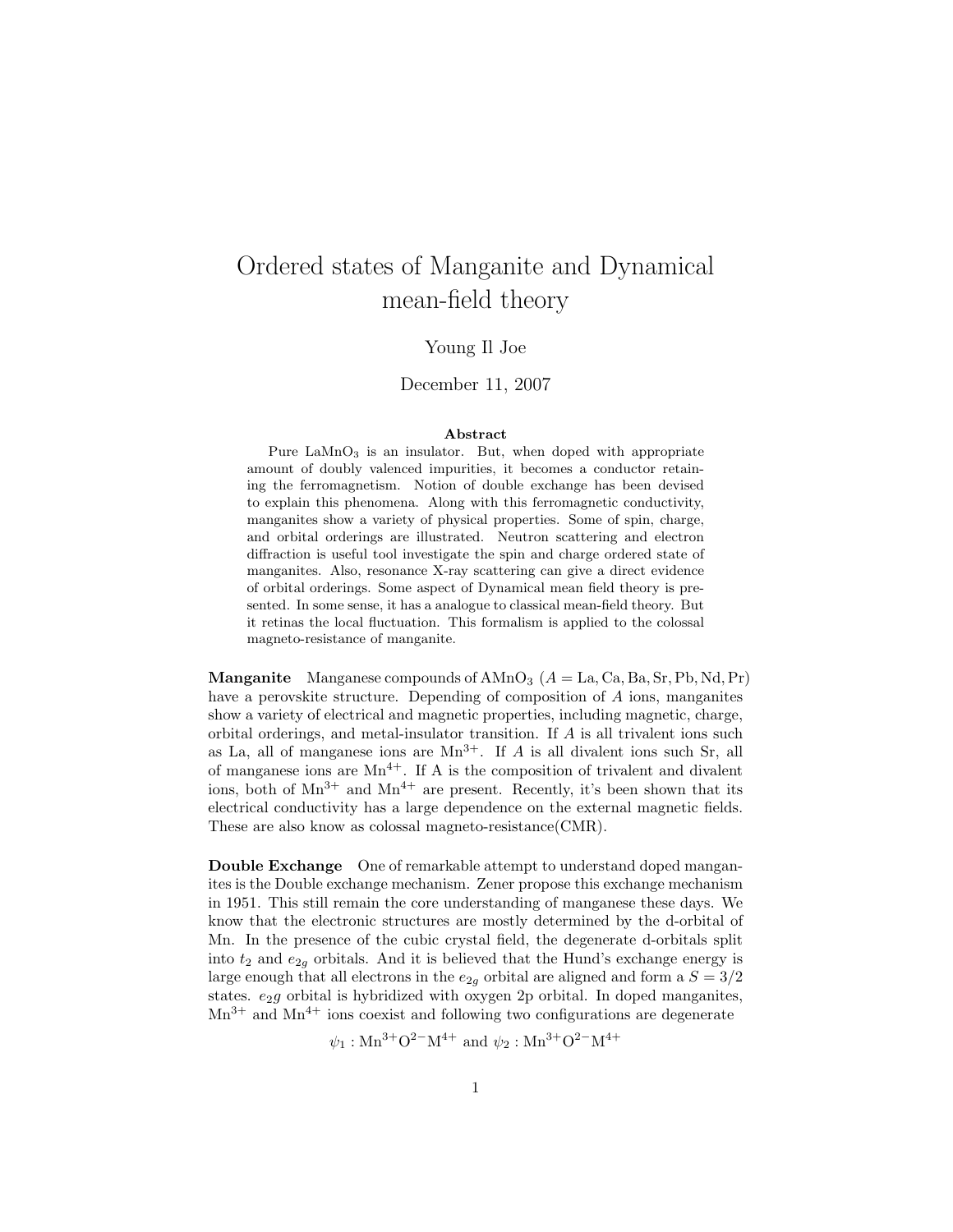# Ordered states of Manganite and Dynamical mean-field theory

### Young Il Joe

#### December 11, 2007

#### Abstract

Pure  $\text{LaMnO}_3$  is an insulator. But, when doped with appropriate amount of doubly valenced impurities, it becomes a conductor retaining the ferromagnetism. Notion of double exchange has been devised to explain this phenomena. Along with this ferromagnetic conductivity, manganites show a variety of physical properties. Some of spin, charge, and orbital orderings are illustrated. Neutron scattering and electron diffraction is useful tool investigate the spin and charge ordered state of manganites. Also, resonance X-ray scattering can give a direct evidence of orbital orderings. Some aspect of Dynamical mean field theory is presented. In some sense, it has a analogue to classical mean-field theory. But it retinas the local fluctuation. This formalism is applied to the colossal magneto-resistance of manganite.

**Manganite** Manganese compounds of  $A MnO<sub>3</sub>$  ( $A = La, Ca, Ba, Sr, Pb, Nd, Pr$ ) have a perovskite structure. Depending of composition of A ions, manganites show a variety of electrical and magnetic properties, including magnetic, charge, orbital orderings, and metal-insulator transition. If A is all trivalent ions such as La, all of manganese ions are  $Mn^{3+}$ . If A is all divalent ions such Sr, all of manganese ions are  $Mn^{4+}$ . If A is the composition of trivalent and divalent ions, both of  $Mn^{3+}$  and  $Mn^{4+}$  are present. Recently, it's been shown that its electrical conductivity has a large dependence on the external magnetic fields. These are also know as colossal magneto-resistance(CMR).

Double Exchange One of remarkable attempt to understand doped manganites is the Double exchange mechanism. Zener propose this exchange mechanism in 1951. This still remain the core understanding of manganese these days. We know that the electronic structures are mostly determined by the d-orbital of Mn. In the presence of the cubic crystal field, the degenerate d-orbitals split into  $t_2$  and  $e_{2g}$  orbitals. And it is believed that the Hund's exchange energy is large enough that all electrons in the  $e_{2g}$  orbital are aligned and form a  $S = 3/2$ states.  $e_2g$  orbital is hybridized with oxygen 2p orbital. In doped manganites,  $Mn^{3+}$  and  $Mn^{4+}$  ions coexist and following two configurations are degenerate

 $\psi_1 : \text{Mn}^{3+} \text{O}^{2-} \text{M}^{4+}$  and  $\psi_2 : \text{Mn}^{3+} \text{O}^{2-} \text{M}^{4+}$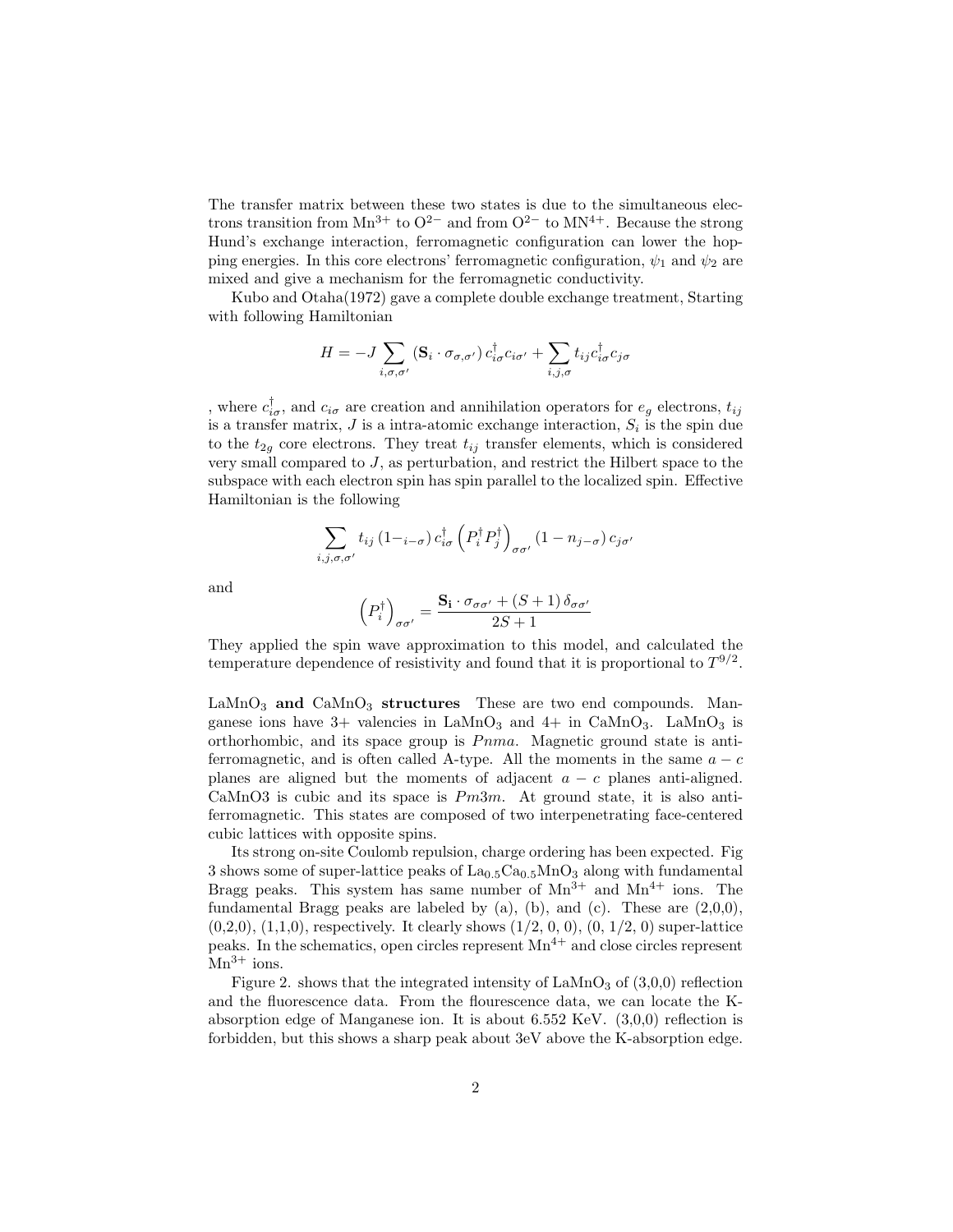The transfer matrix between these two states is due to the simultaneous electrons transition from Mn<sup>3+</sup> to  $O^{2-}$  and from  $O^{2-}$  to MN<sup>4+</sup>. Because the strong Hund's exchange interaction, ferromagnetic configuration can lower the hopping energies. In this core electrons' ferromagnetic configuration,  $\psi_1$  and  $\psi_2$  are mixed and give a mechanism for the ferromagnetic conductivity.

Kubo and Otaha(1972) gave a complete double exchange treatment, Starting with following Hamiltonian

$$
H = -J \sum_{i,\sigma,\sigma'} (\mathbf{S}_i \cdot \sigma_{\sigma,\sigma'}) c_{i\sigma}^\dagger c_{i\sigma'} + \sum_{i,j,\sigma} t_{ij} c_{i\sigma}^\dagger c_{j\sigma}
$$

, where  $c_{i\sigma}^{\dagger}$ , and  $c_{i\sigma}$  are creation and annihilation operators for  $e_g$  electrons,  $t_{ij}$ is a transfer matrix,  $J$  is a intra-atomic exchange interaction,  $S_i$  is the spin due to the  $t_{2g}$  core electrons. They treat  $t_{ij}$  transfer elements, which is considered very small compared to J, as perturbation, and restrict the Hilbert space to the subspace with each electron spin has spin parallel to the localized spin. Effective Hamiltonian is the following

$$
\sum_{i,j,\sigma,\sigma'} t_{ij} \left(1_{i-\sigma}\right) c_{i\sigma}^{\dagger} \left(P_i^{\dagger} P_j^{\dagger}\right)_{\sigma\sigma'} \left(1 - n_{j-\sigma}\right) c_{j\sigma'}
$$

and

$$
\left(P_i^{\dagger}\right)_{\sigma\sigma'} = \frac{\mathbf{S_i} \cdot \sigma_{\sigma\sigma'} + (S+1) \,\delta_{\sigma\sigma'}}{2S+1}
$$

They applied the spin wave approximation to this model, and calculated the temperature dependence of resistivity and found that it is proportional to  $T^{9/2}$ .

 $\text{LaMnO}_3$  and  $\text{CaMnO}_3$  structures These are two end compounds. Manganese ions have  $3+$  valencies in LaMnO<sub>3</sub> and  $4+$  in CaMnO<sub>3</sub>. LaMnO<sub>3</sub> is orthorhombic, and its space group is  $Pnma$ . Magnetic ground state is antiferromagnetic, and is often called A-type. All the moments in the same  $a - c$ planes are aligned but the moments of adjacent  $a - c$  planes anti-aligned. CaMnO3 is cubic and its space is  $Pm3m$ . At ground state, it is also antiferromagnetic. This states are composed of two interpenetrating face-centered cubic lattices with opposite spins.

Its strong on-site Coulomb repulsion, charge ordering has been expected. Fig 3 shows some of super-lattice peaks of  $\text{La}_{0.5}\text{Ca}_{0.5}\text{MnO}_3$  along with fundamental Bragg peaks. This system has same number of  $Mn^{3+}$  and  $Mn^{4+}$  ions. The fundamental Bragg peaks are labeled by  $(a)$ ,  $(b)$ , and  $(c)$ . These are  $(2,0,0)$ ,  $(0,2,0), (1,1,0)$ , respectively. It clearly shows  $(1/2, 0, 0), (0, 1/2, 0)$  super-lattice peaks. In the schematics, open circles represent  $Mn^{4+}$  and close circles represent  $Mn^{3+}$  ions.

Figure 2. shows that the integrated intensity of  $\text{LaMnO}_3$  of  $(3,0,0)$  reflection and the fluorescence data. From the flourescence data, we can locate the Kabsorption edge of Manganese ion. It is about  $6.552 \text{ KeV}$ .  $(3,0,0)$  reflection is forbidden, but this shows a sharp peak about 3eV above the K-absorption edge.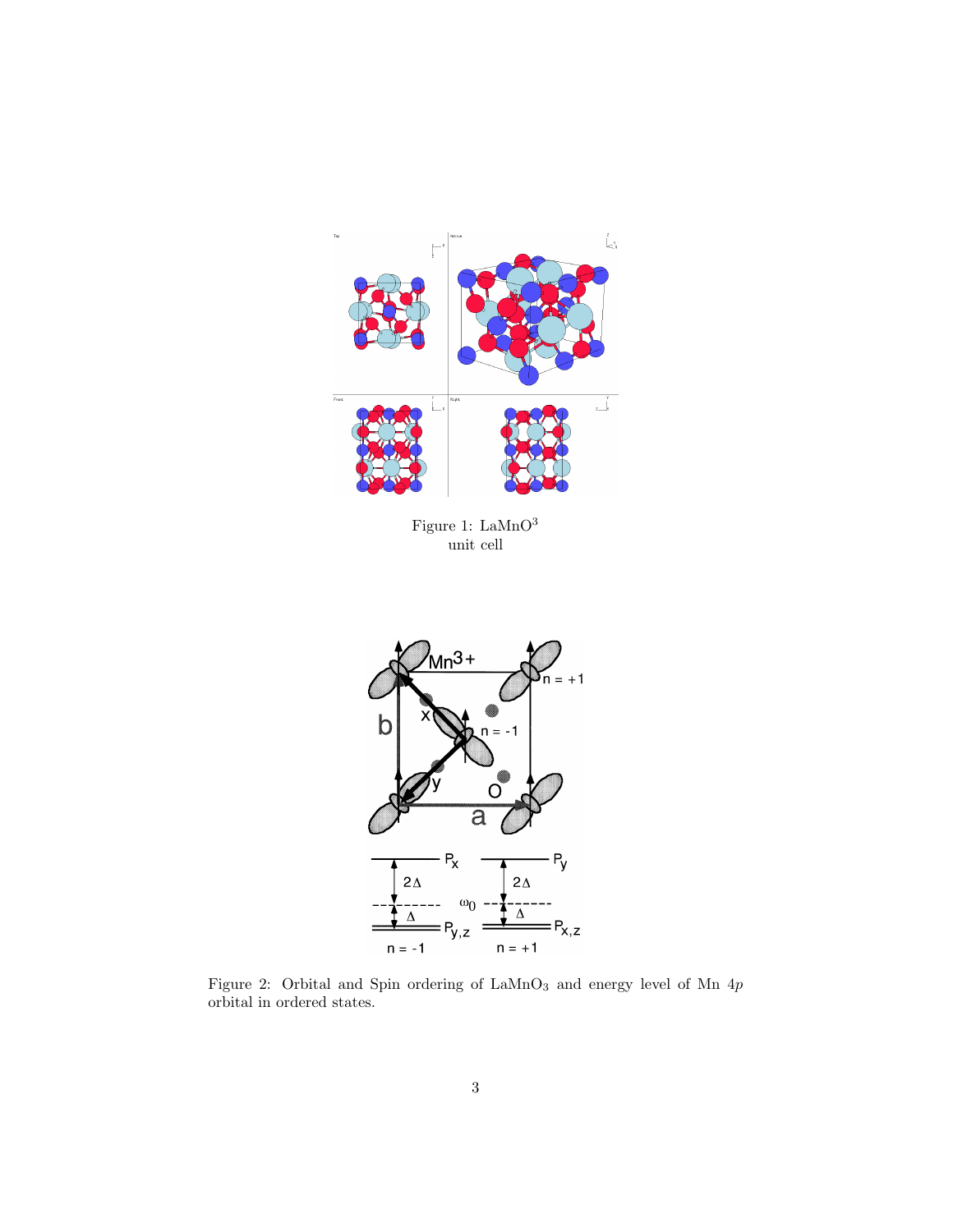

Figure 1:  $\mbox{LaMnO}^3$ unit cell



Figure 2: Orbital and Spin ordering of  ${\rm LaMnO_3}$  and energy level of Mn  $4p$ orbital in ordered states.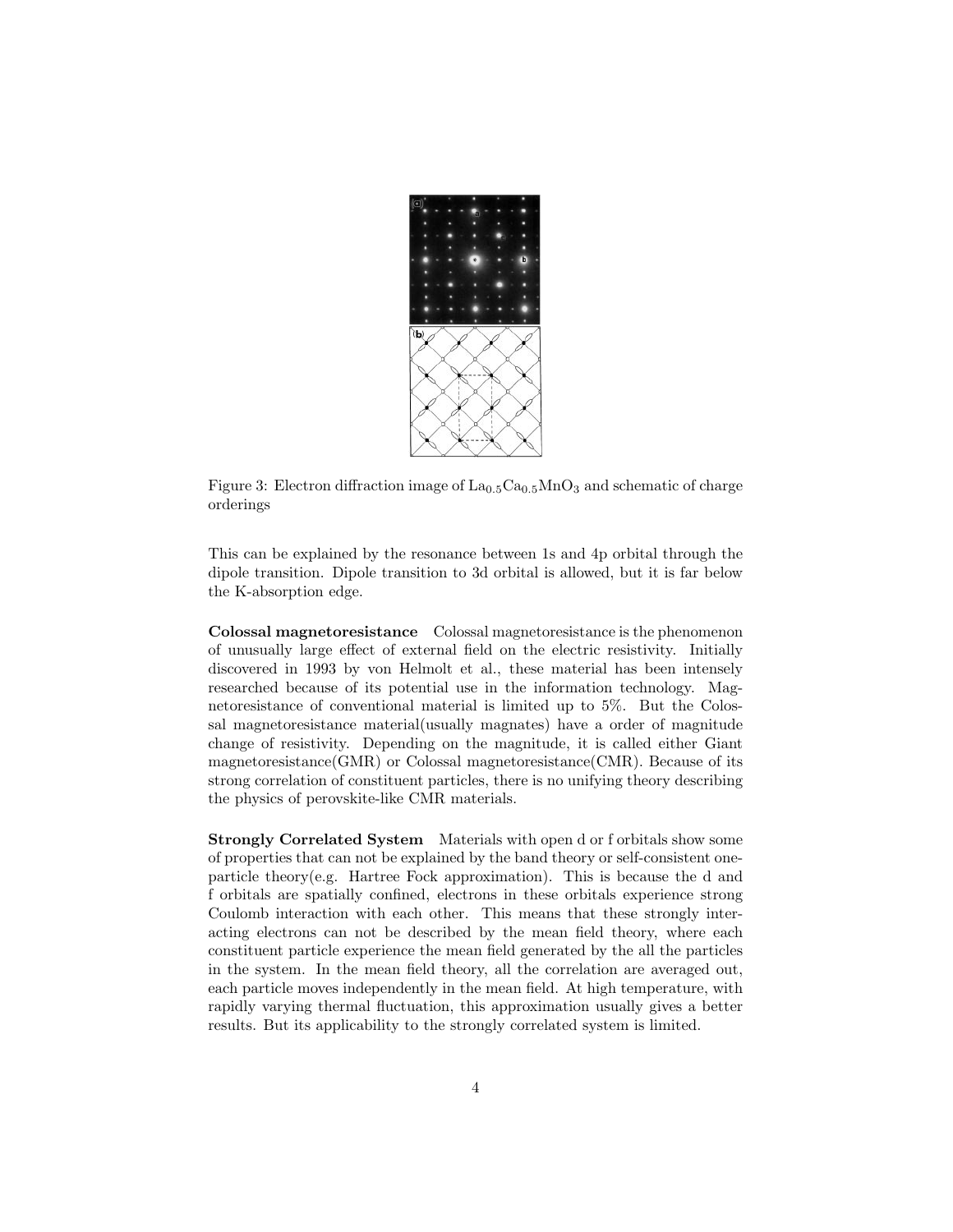

Figure 3: Electron diffraction image of  $La<sub>0.5</sub>Ca<sub>0.5</sub>MnO<sub>3</sub>$  and schematic of charge orderings

This can be explained by the resonance between 1s and 4p orbital through the dipole transition. Dipole transition to 3d orbital is allowed, but it is far below the K-absorption edge.

Colossal magnetoresistance Colossal magnetoresistance is the phenomenon of unusually large effect of external field on the electric resistivity. Initially discovered in 1993 by von Helmolt et al., these material has been intensely researched because of its potential use in the information technology. Magnetoresistance of conventional material is limited up to 5%. But the Colossal magnetoresistance material(usually magnates) have a order of magnitude change of resistivity. Depending on the magnitude, it is called either Giant magnetoresistance(GMR) or Colossal magnetoresistance(CMR). Because of its strong correlation of constituent particles, there is no unifying theory describing the physics of perovskite-like CMR materials.

Strongly Correlated System Materials with open d or f orbitals show some of properties that can not be explained by the band theory or self-consistent oneparticle theory(e.g. Hartree Fock approximation). This is because the d and f orbitals are spatially confined, electrons in these orbitals experience strong Coulomb interaction with each other. This means that these strongly interacting electrons can not be described by the mean field theory, where each constituent particle experience the mean field generated by the all the particles in the system. In the mean field theory, all the correlation are averaged out, each particle moves independently in the mean field. At high temperature, with rapidly varying thermal fluctuation, this approximation usually gives a better results. But its applicability to the strongly correlated system is limited.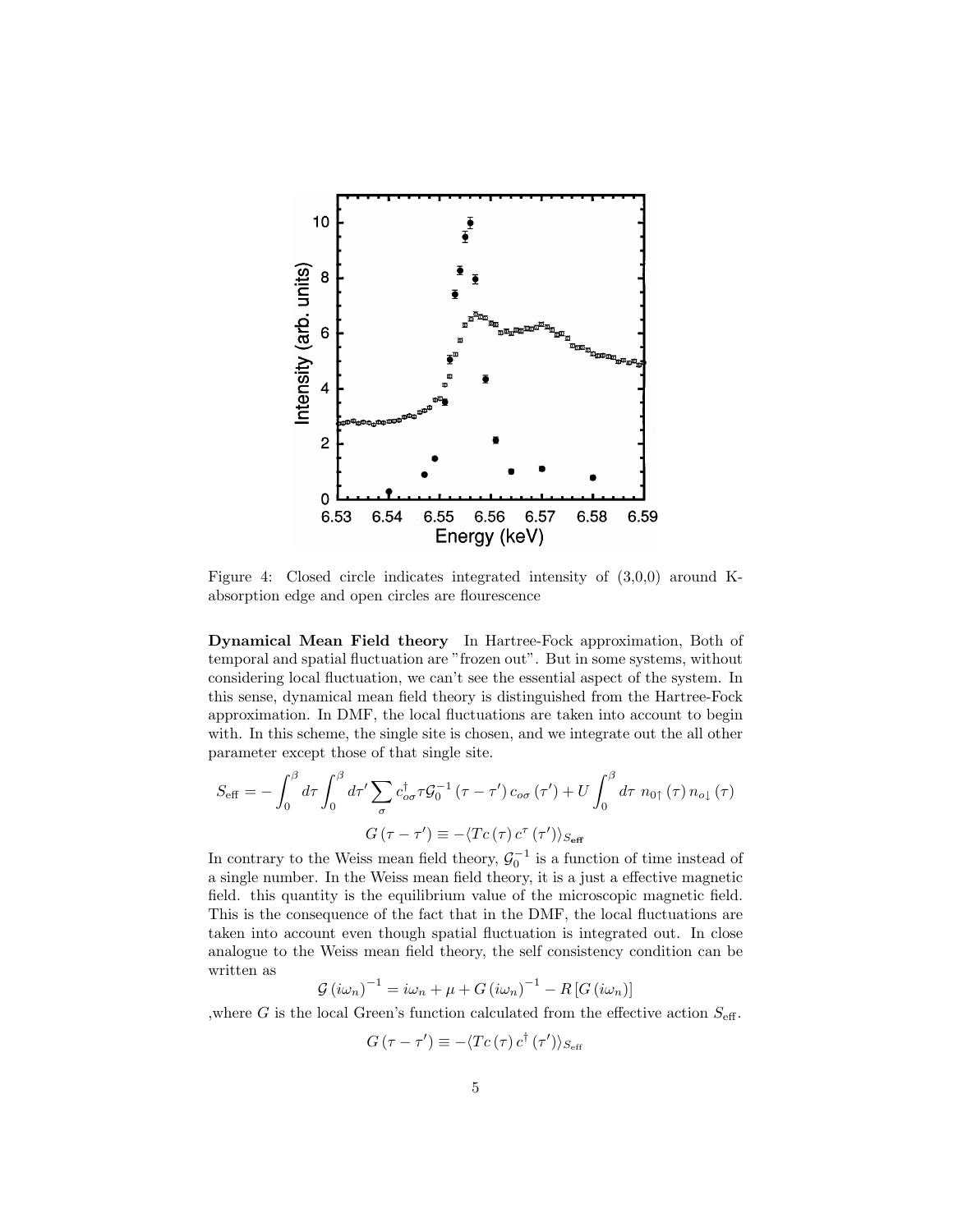

Figure 4: Closed circle indicates integrated intensity of (3,0,0) around Kabsorption edge and open circles are flourescence

Dynamical Mean Field theory In Hartree-Fock approximation, Both of temporal and spatial fluctuation are "frozen out". But in some systems, without considering local fluctuation, we can't see the essential aspect of the system. In this sense, dynamical mean field theory is distinguished from the Hartree-Fock approximation. In DMF, the local fluctuations are taken into account to begin with. In this scheme, the single site is chosen, and we integrate out the all other parameter except those of that single site.

$$
S_{\text{eff}} = -\int_0^\beta d\tau \int_0^\beta d\tau' \sum_{\sigma} c_{\sigma\sigma}^{\dagger} \tau \mathcal{G}_0^{-1} (\tau - \tau') c_{\sigma\sigma} (\tau') + U \int_0^\beta d\tau \ n_{0\uparrow} (\tau) n_{o\downarrow} (\tau)
$$

$$
G(\tau - \tau') \equiv -\langle Tc(\tau) c^{\tau} (\tau') \rangle_{S_{\text{eff}}}
$$

In contrary to the Weiss mean field theory,  $\mathcal{G}_0^{-1}$  is a function of time instead of a single number. In the Weiss mean field theory, it is a just a effective magnetic field. this quantity is the equilibrium value of the microscopic magnetic field. This is the consequence of the fact that in the DMF, the local fluctuations are taken into account even though spatial fluctuation is integrated out. In close analogue to the Weiss mean field theory, the self consistency condition can be written as

$$
\mathcal{G}\left(i\omega_{n}\right)^{-1} = i\omega_{n} + \mu + G\left(i\omega_{n}\right)^{-1} - R\left[G\left(i\omega_{n}\right)\right]
$$

,<br>where  $G$  is the local Green's function calculated from the effective action<br>  $S_{\mbox{\scriptsize eff}}.$ 

$$
G\left(\tau-\tau^{\prime}\right)\equiv-\langle Tc\left(\tau\right)c^{\dagger}\left(\tau^{\prime}\right)\rangle_{S_{\text{eff}}}
$$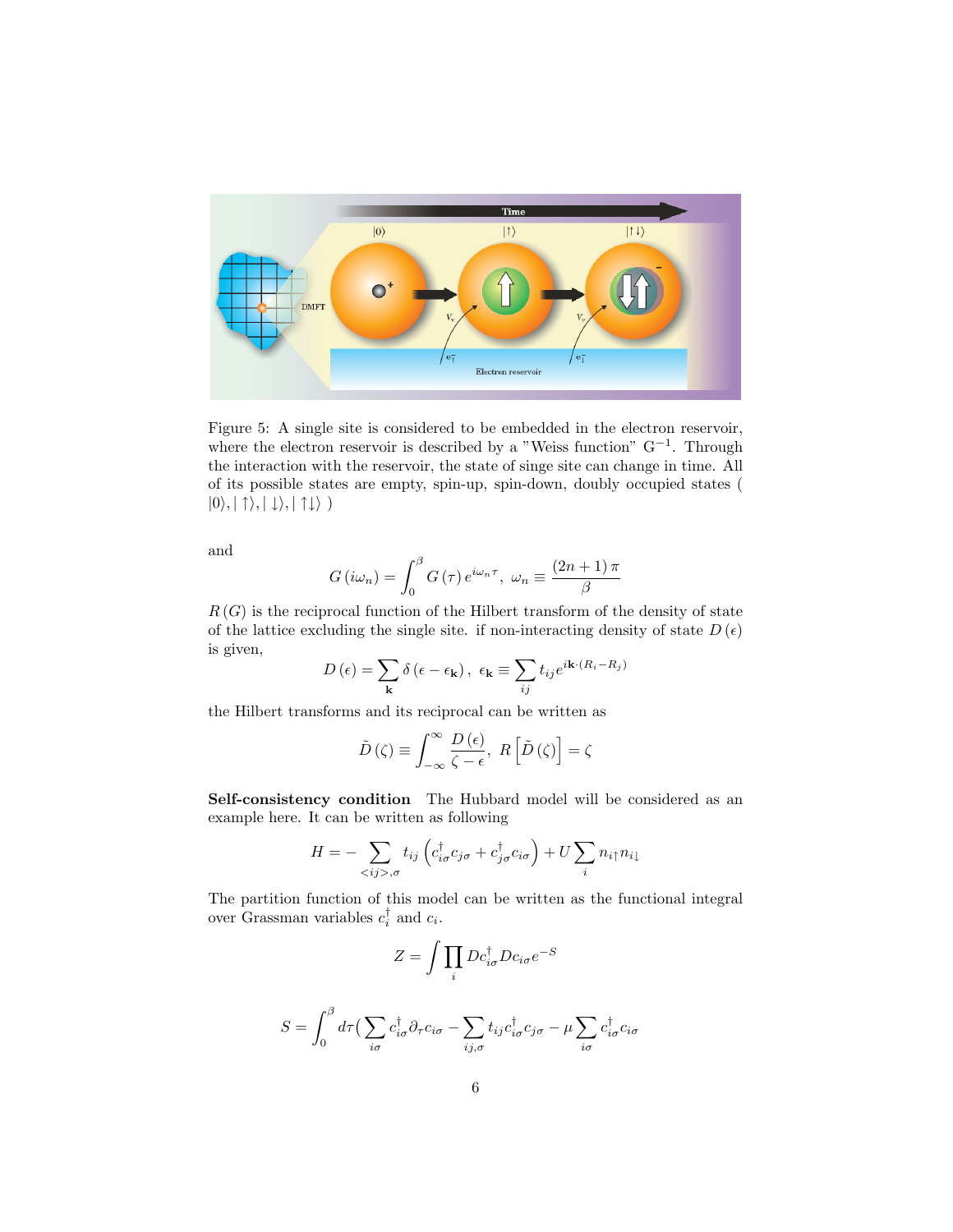

Figure 5: A single site is considered to be embedded in the electron reservoir, where the electron reservoir is described by a "Weiss function"  $G^{-1}$ . Through the interaction with the reservoir, the state of singe site can change in time. All of its possible states are empty, spin-up, spin-down, doubly occupied states (  $|0\rangle, |\uparrow\rangle, |\downarrow\rangle, |\uparrow\downarrow\rangle)$ 

and

$$
G(i\omega_n) = \int_0^\beta G(\tau) e^{i\omega_n \tau}, \ \omega_n \equiv \frac{(2n+1)\pi}{\beta}
$$

 $R(G)$  is the reciprocal function of the Hilbert transform of the density of state of the lattice excluding the single site. if non-interacting density of state  $D(\epsilon)$ is given,

$$
D(\epsilon) = \sum_{\mathbf{k}} \delta(\epsilon - \epsilon_{\mathbf{k}}), \ \epsilon_{\mathbf{k}} \equiv \sum_{ij} t_{ij} e^{i\mathbf{k} \cdot (R_i - R_j)}
$$

the Hilbert transforms and its reciprocal can be written as

$$
\tilde{D}(\zeta) \equiv \int_{-\infty}^{\infty} \frac{D(\epsilon)}{\zeta - \epsilon}, \ R\left[\tilde{D}(\zeta)\right] = \zeta
$$

Self-consistency condition The Hubbard model will be considered as an example here. It can be written as following

$$
H = -\sum_{\langle ij \rangle, \sigma} t_{ij} \left( c_{i\sigma}^{\dagger} c_{j\sigma} + c_{j\sigma}^{\dagger} c_{i\sigma} \right) + U \sum_{i} n_{i\uparrow} n_{i\downarrow}
$$

The partition function of this model can be written as the functional integral over Grassman variables  $c_i^{\dagger}$  and  $c_i$ .

$$
Z = \int \prod_i Dc_{i\sigma}^{\dagger} Dc_{i\sigma} e^{-S}
$$

$$
S = \int_0^\beta d\tau \Big( \sum_{i\sigma} c_{i\sigma}^\dagger \partial_\tau c_{i\sigma} - \sum_{ij,\sigma} t_{ij} c_{i\sigma}^\dagger c_{j\sigma} - \mu \sum_{i\sigma} c_{i\sigma}^\dagger c_{i\sigma}
$$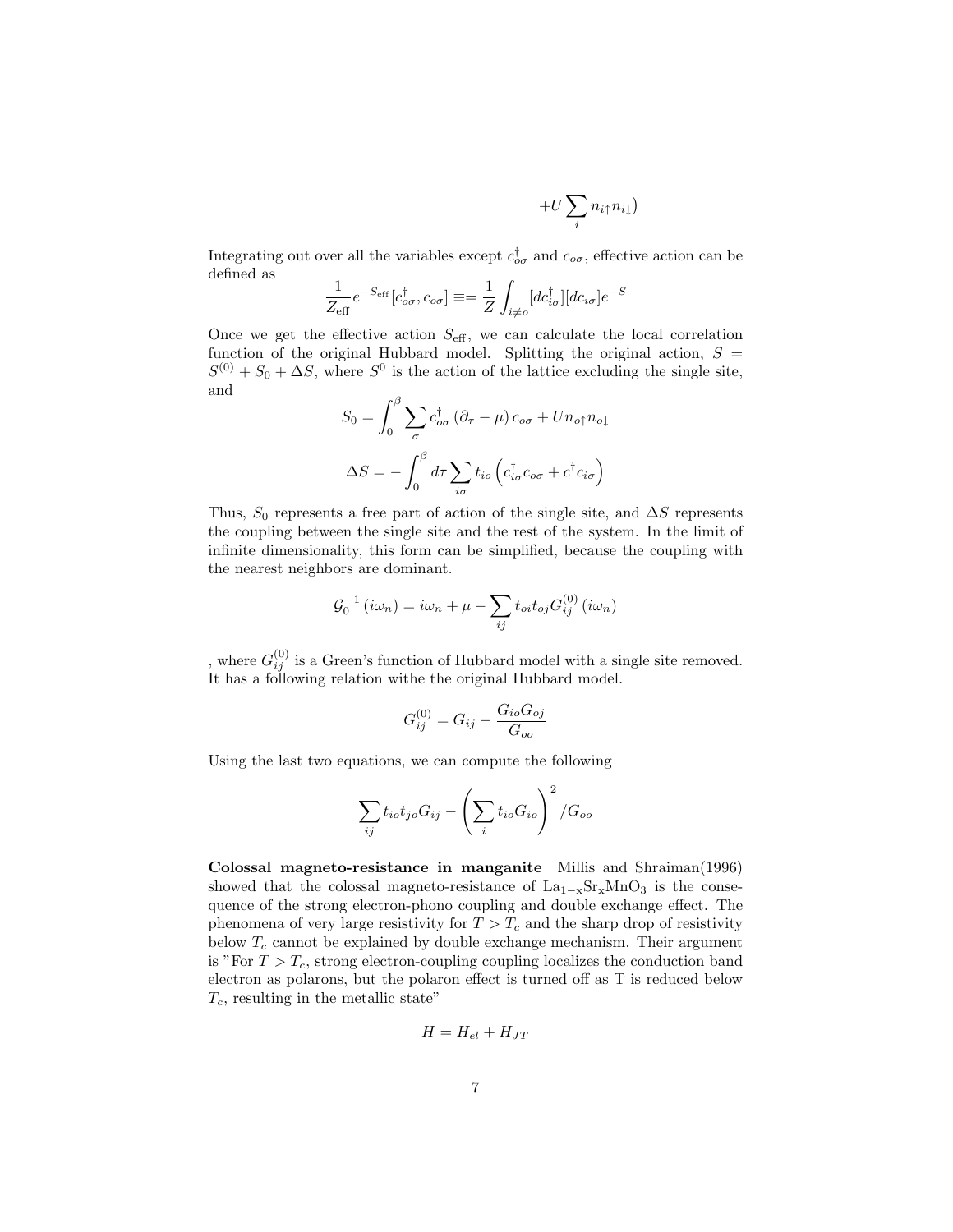$$
+U\sum_{i}n_{i\uparrow}n_{i\downarrow})
$$

Integrating out over all the variables except  $c_{\sigma\sigma}^{\dagger}$  and  $c_{\sigma\sigma}$ , effective action can be defined as

$$
\frac{1}{Z_{\text{eff}}}e^{-S_{\text{eff}}}[c_{o\sigma}^{\dagger},c_{o\sigma}] \equiv \frac{1}{Z}\int_{i\neq o}[dc_{i\sigma}^{\dagger}][dc_{i\sigma}]e^{-S}
$$

Once we get the effective action  $S_{\text{eff}}$ , we can calculate the local correlation function of the original Hubbard model. Splitting the original action,  $S =$  $S^{(0)} + S_0 + \Delta S$ , where  $S^0$  is the action of the lattice excluding the single site, and

$$
S_0 = \int_0^\beta \sum_{\sigma} c_{\sigma\sigma}^\dagger (\partial_\tau - \mu) c_{\sigma\sigma} + U n_{\sigma\uparrow} n_{\sigma\downarrow}
$$

$$
\Delta S = -\int_0^\beta d\tau \sum_{i\sigma} t_{i\sigma} \left( c_{i\sigma}^\dagger c_{\sigma\sigma} + c^\dagger c_{i\sigma} \right)
$$

Thus,  $S_0$  represents a free part of action of the single site, and  $\Delta S$  represents the coupling between the single site and the rest of the system. In the limit of infinite dimensionality, this form can be simplified, because the coupling with the nearest neighbors are dominant.

$$
\mathcal{G}_0^{-1}(i\omega_n) = i\omega_n + \mu - \sum_{ij} t_{oi} t_{oj} G_{ij}^{(0)}(i\omega_n)
$$

, where  $G_{ij}^{(0)}$  is a Green's function of Hubbard model with a single site removed. It has a following relation withe the original Hubbard model.

$$
G_{ij}^{(0)} = G_{ij} - \frac{G_{io} G_{oj}}{G_{oo}}
$$

Using the last two equations, we can compute the following

$$
\sum_{ij} t_{io} t_{jo} G_{ij} - \left(\sum_i t_{io} G_{io}\right)^2 / G_{oo}
$$

Colossal magneto-resistance in manganite Millis and Shraiman(1996) showed that the colossal magneto-resistance of  $La_{1-x}Sr_xMnO_3$  is the consequence of the strong electron-phono coupling and double exchange effect. The phenomena of very large resistivity for  $T > T_c$  and the sharp drop of resistivity below  $T_c$  cannot be explained by double exchange mechanism. Their argument is "For  $T > T_c$ , strong electron-coupling coupling localizes the conduction band electron as polarons, but the polaron effect is turned off as T is reduced below  $T_c$ , resulting in the metallic state"

$$
H = H_{el} + H_{JT}
$$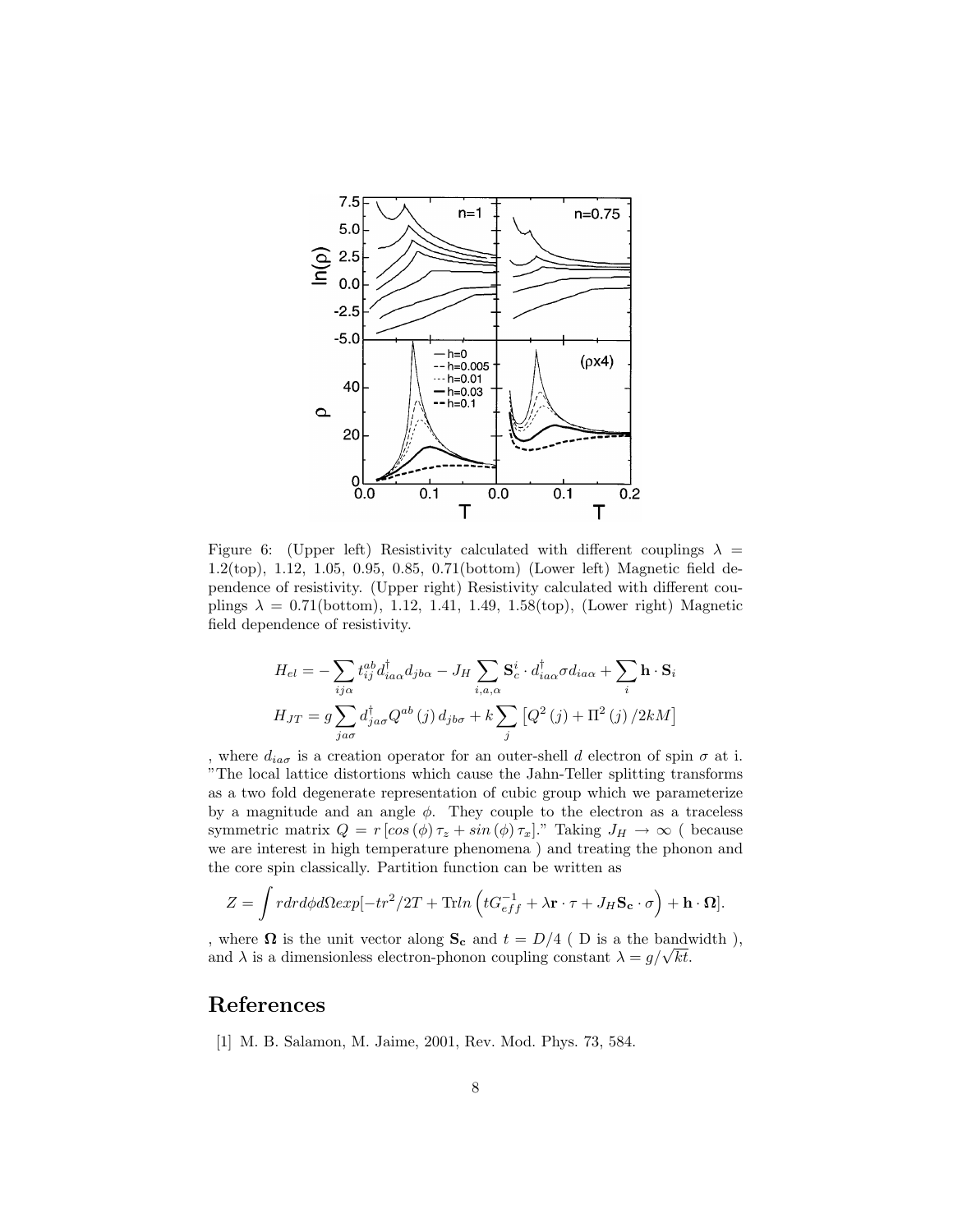

Figure 6: (Upper left) Resistivity calculated with different couplings  $\lambda =$ 1.2(top), 1.12, 1.05, 0.95, 0.85, 0.71(bottom) (Lower left) Magnetic field dependence of resistivity. (Upper right) Resistivity calculated with different couplings  $\lambda = 0.71$ (bottom), 1.12, 1.41, 1.49, 1.58(top), (Lower right) Magnetic field dependence of resistivity.

$$
H_{el} = -\sum_{ij\alpha} t_{ij}^{ab} d_{ia\alpha}^{\dagger} d_{jb\alpha} - J_H \sum_{i,a,\alpha} \mathbf{S}_c^i \cdot d_{ia\alpha}^{\dagger} \sigma d_{ia\alpha} + \sum_i \mathbf{h} \cdot \mathbf{S}_i
$$
  

$$
H_{JT} = g \sum_{ja\sigma} d_{ja\sigma}^{\dagger} Q^{ab}(j) d_{jb\sigma} + k \sum_j \left[ Q^2(j) + \Pi^2(j) / 2kM \right]
$$

, where  $d_{ia\sigma}$  is a creation operator for an outer-shell d electron of spin  $\sigma$  at i. "The local lattice distortions which cause the Jahn-Teller splitting transforms as a two fold degenerate representation of cubic group which we parameterize by a magnitude and an angle  $\phi$ . They couple to the electron as a traceless symmetric matrix  $Q = r [\cos (\phi) \tau_z + \sin (\phi) \tau_x]$ ." Taking  $J_H \to \infty$  ( because we are interest in high temperature phenomena ) and treating the phonon and the core spin classically. Partition function can be written as

$$
Z = \int r dr d\phi d\Omega exp[-tr^2/2T + \text{Tr}ln\left(tG_{eff}^{-1} + \lambda \mathbf{r} \cdot \boldsymbol{\tau} + J_H \mathbf{S_c} \cdot \boldsymbol{\sigma}\right) + \mathbf{h} \cdot \mathbf{\Omega}].
$$

, where  $\Omega$  is the unit vector along  $S_c$  and  $t = D/4$  (D is a the bandwidth), where **1** is the unit vector along  $S_c$  and  $t = D/4$  ( D is a the bandy and  $\lambda$  is a dimensionless electron-phonon coupling constant  $\lambda = g/\sqrt{kt}$ .

## References

[1] M. B. Salamon, M. Jaime, 2001, Rev. Mod. Phys. 73, 584.